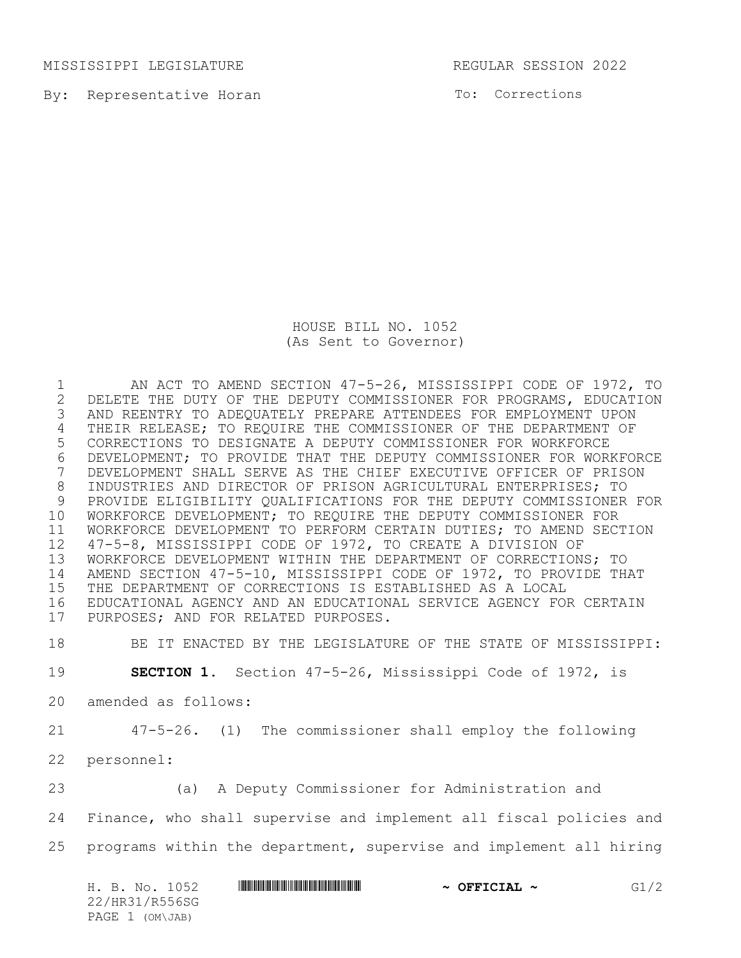MISSISSIPPI LEGISLATURE REGULAR SESSION 2022

By: Representative Horan

To: Corrections

HOUSE BILL NO. 1052 (As Sent to Governor)

1 AN ACT TO AMEND SECTION 47-5-26, MISSISSIPPI CODE OF 1972, TO<br>2 DELETE THE DUTY OF THE DEPUTY COMMISSIONER FOR PROGRAMS, EDUCATION 2 DELETE THE DUTY OF THE DEPUTY COMMISSIONER FOR PROGRAMS, EDUCATION<br>3 AND REENTRY TO ADEQUATELY PREPARE ATTENDEES FOR EMPLOYMENT UPON AND REENTRY TO ADEQUATELY PREPARE ATTENDEES FOR EMPLOYMENT UPON THEIR RELEASE; TO REQUIRE THE COMMISSIONER OF THE DEPARTMENT OF CORRECTIONS TO DESIGNATE A DEPUTY COMMISSIONER FOR WORKFORCE 6 DEVELOPMENT; TO PROVIDE THAT THE DEPUTY COMMISSIONER FOR WORKFORCE<br>7 DEVELOPMENT SHALL SERVE AS THE CHIEF EXECUTIVE OFFICER OF PRISON DEVELOPMENT SHALL SERVE AS THE CHIEF EXECUTIVE OFFICER OF PRISON INDUSTRIES AND DIRECTOR OF PRISON AGRICULTURAL ENTERPRISES; TO PROVIDE ELIGIBILITY QUALIFICATIONS FOR THE DEPUTY COMMISSIONER FOR WORKFORCE DEVELOPMENT; TO REQUIRE THE DEPUTY COMMISSIONER FOR WORKFORCE DEVELOPMENT TO PERFORM CERTAIN DUTIES; TO AMEND SECTION 47-5-8, MISSISSIPPI CODE OF 1972, TO CREATE A DIVISION OF WORKFORCE DEVELOPMENT WITHIN THE DEPARTMENT OF CORRECTIONS; TO AMEND SECTION 47-5-10, MISSISSIPPI CODE OF 1972, TO PROVIDE THAT THE DEPARTMENT OF CORRECTIONS IS ESTABLISHED AS A LOCAL EDUCATIONAL AGENCY AND AN EDUCATIONAL SERVICE AGENCY FOR CERTAIN PURPOSES; AND FOR RELATED PURPOSES.

BE IT ENACTED BY THE LEGISLATURE OF THE STATE OF MISSISSIPPI:

**SECTION 1.** Section 47-5-26, Mississippi Code of 1972, is

- amended as follows:
- 47-5-26. (1) The commissioner shall employ the following
- personnel:

(a) A Deputy Commissioner for Administration and

Finance, who shall supervise and implement all fiscal policies and

programs within the department, supervise and implement all hiring

| H. B. No. 1052  | $\sim$ OFFICIAL $\sim$ | G1/2 |
|-----------------|------------------------|------|
| 22/HR31/R556SG  |                        |      |
| PAGE 1 (OM\JAB) |                        |      |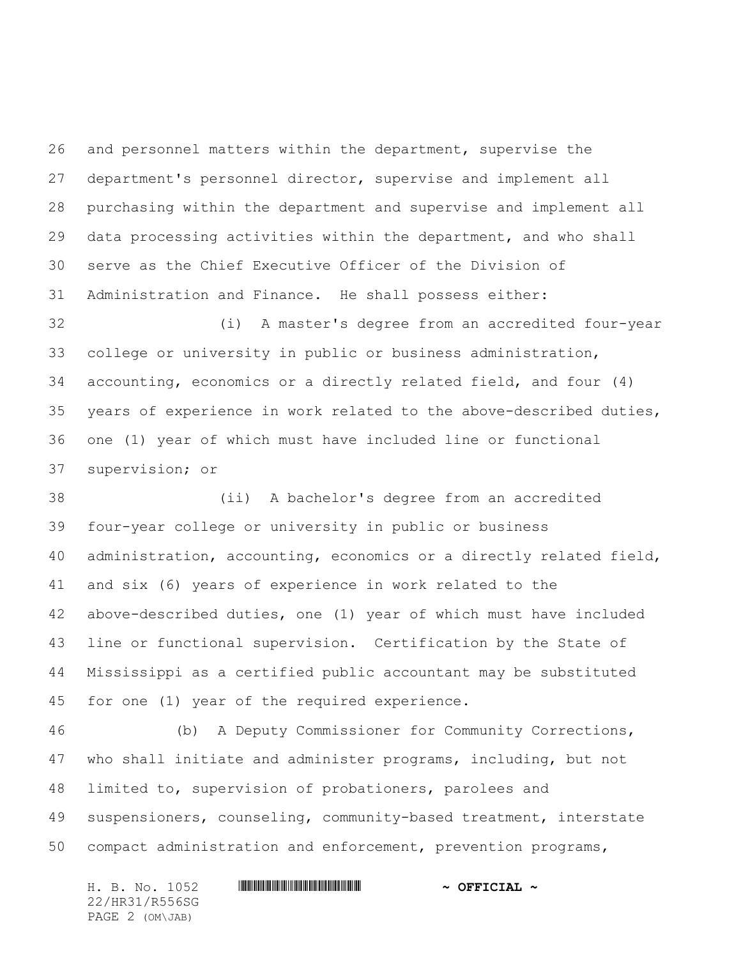and personnel matters within the department, supervise the department's personnel director, supervise and implement all purchasing within the department and supervise and implement all data processing activities within the department, and who shall serve as the Chief Executive Officer of the Division of Administration and Finance. He shall possess either:

 (i) A master's degree from an accredited four-year college or university in public or business administration, accounting, economics or a directly related field, and four (4) years of experience in work related to the above-described duties, one (1) year of which must have included line or functional supervision; or

 (ii) A bachelor's degree from an accredited four-year college or university in public or business administration, accounting, economics or a directly related field, and six (6) years of experience in work related to the above-described duties, one (1) year of which must have included line or functional supervision. Certification by the State of Mississippi as a certified public accountant may be substituted for one (1) year of the required experience.

 (b) A Deputy Commissioner for Community Corrections, who shall initiate and administer programs, including, but not limited to, supervision of probationers, parolees and suspensioners, counseling, community-based treatment, interstate compact administration and enforcement, prevention programs,

22/HR31/R556SG PAGE 2 (OM\JAB)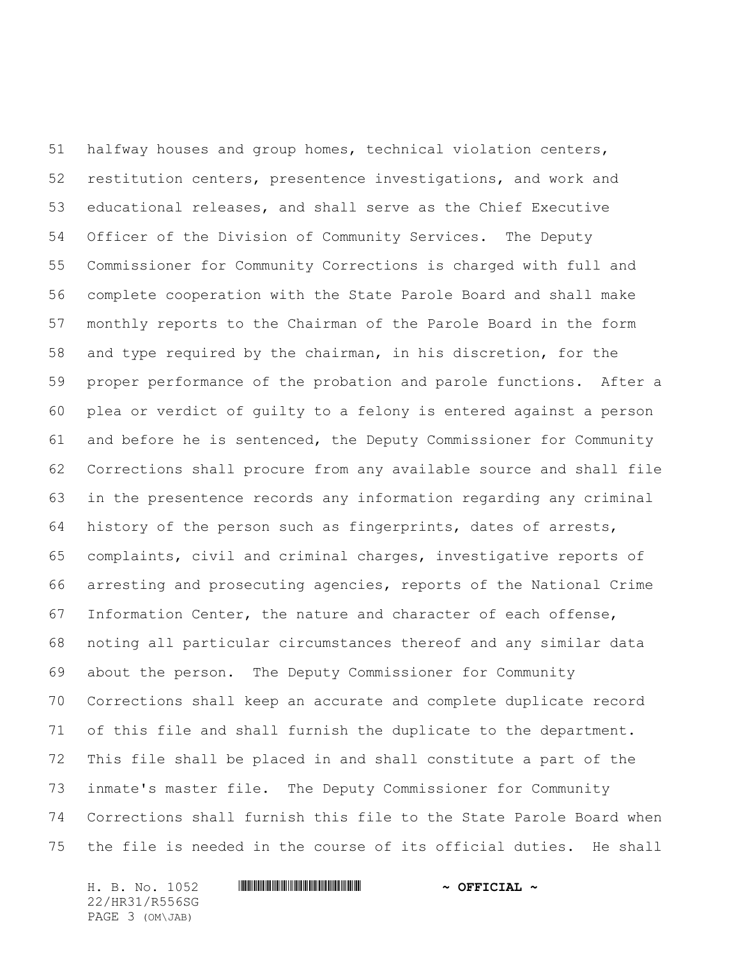halfway houses and group homes, technical violation centers, restitution centers, presentence investigations, and work and educational releases, and shall serve as the Chief Executive Officer of the Division of Community Services. The Deputy Commissioner for Community Corrections is charged with full and complete cooperation with the State Parole Board and shall make monthly reports to the Chairman of the Parole Board in the form and type required by the chairman, in his discretion, for the proper performance of the probation and parole functions. After a plea or verdict of guilty to a felony is entered against a person and before he is sentenced, the Deputy Commissioner for Community Corrections shall procure from any available source and shall file in the presentence records any information regarding any criminal history of the person such as fingerprints, dates of arrests, complaints, civil and criminal charges, investigative reports of arresting and prosecuting agencies, reports of the National Crime Information Center, the nature and character of each offense, noting all particular circumstances thereof and any similar data about the person. The Deputy Commissioner for Community Corrections shall keep an accurate and complete duplicate record of this file and shall furnish the duplicate to the department. This file shall be placed in and shall constitute a part of the inmate's master file. The Deputy Commissioner for Community Corrections shall furnish this file to the State Parole Board when the file is needed in the course of its official duties. He shall

22/HR31/R556SG PAGE 3 (OM\JAB)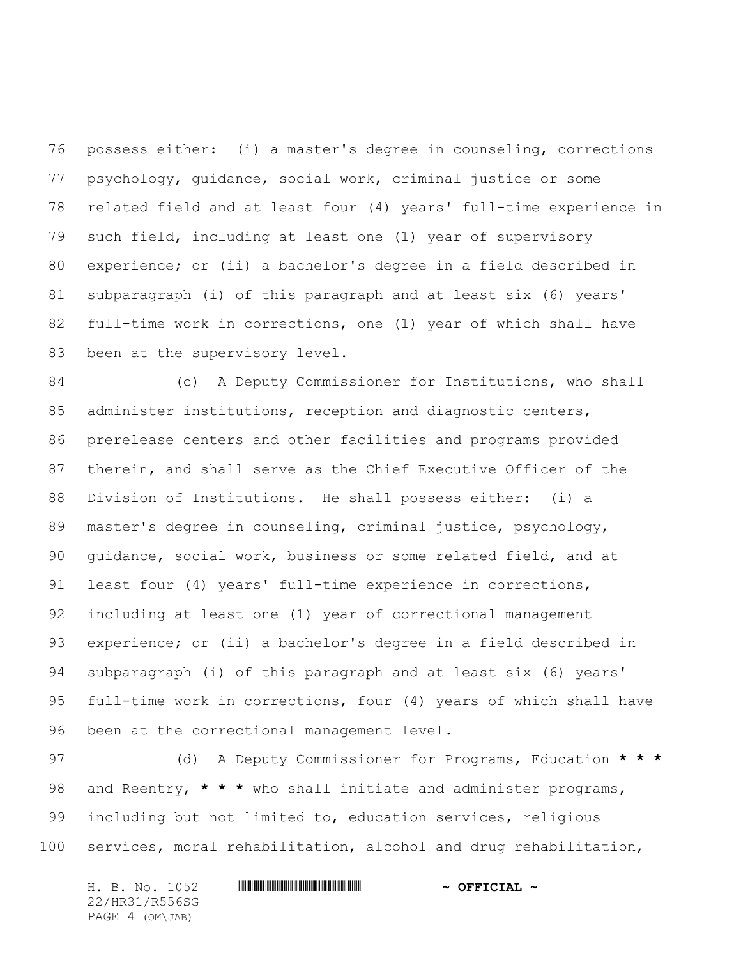possess either: (i) a master's degree in counseling, corrections psychology, guidance, social work, criminal justice or some related field and at least four (4) years' full-time experience in such field, including at least one (1) year of supervisory experience; or (ii) a bachelor's degree in a field described in subparagraph (i) of this paragraph and at least six (6) years' full-time work in corrections, one (1) year of which shall have 83 been at the supervisory level.

 (c) A Deputy Commissioner for Institutions, who shall administer institutions, reception and diagnostic centers, prerelease centers and other facilities and programs provided therein, and shall serve as the Chief Executive Officer of the Division of Institutions. He shall possess either: (i) a master's degree in counseling, criminal justice, psychology, guidance, social work, business or some related field, and at least four (4) years' full-time experience in corrections, including at least one (1) year of correctional management experience; or (ii) a bachelor's degree in a field described in subparagraph (i) of this paragraph and at least six (6) years' full-time work in corrections, four (4) years of which shall have been at the correctional management level.

 (d) A Deputy Commissioner for Programs, Education **\* \* \*** and Reentry, **\* \* \*** who shall initiate and administer programs, including but not limited to, education services, religious services, moral rehabilitation, alcohol and drug rehabilitation,

22/HR31/R556SG PAGE 4 (OM\JAB)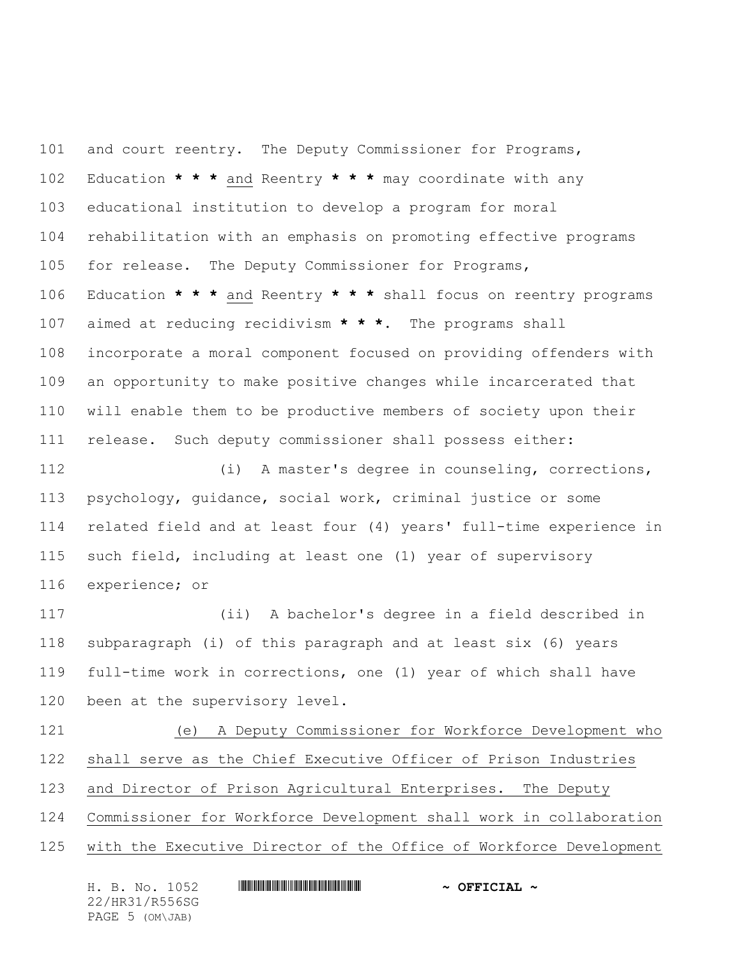and court reentry. The Deputy Commissioner for Programs, Education **\* \* \*** and Reentry **\* \* \*** may coordinate with any educational institution to develop a program for moral rehabilitation with an emphasis on promoting effective programs for release. The Deputy Commissioner for Programs, Education **\* \* \*** and Reentry **\* \* \*** shall focus on reentry programs aimed at reducing recidivism **\* \* \***. The programs shall incorporate a moral component focused on providing offenders with an opportunity to make positive changes while incarcerated that will enable them to be productive members of society upon their release. Such deputy commissioner shall possess either: (i) A master's degree in counseling, corrections,

 psychology, guidance, social work, criminal justice or some related field and at least four (4) years' full-time experience in such field, including at least one (1) year of supervisory experience; or

 (ii) A bachelor's degree in a field described in subparagraph (i) of this paragraph and at least six (6) years full-time work in corrections, one (1) year of which shall have been at the supervisory level.

 (e) A Deputy Commissioner for Workforce Development who shall serve as the Chief Executive Officer of Prison Industries and Director of Prison Agricultural Enterprises. The Deputy Commissioner for Workforce Development shall work in collaboration with the Executive Director of the Office of Workforce Development

H. B. No. 1052 \*HR31/R556SG\* **~ OFFICIAL ~** 22/HR31/R556SG PAGE 5 (OM\JAB)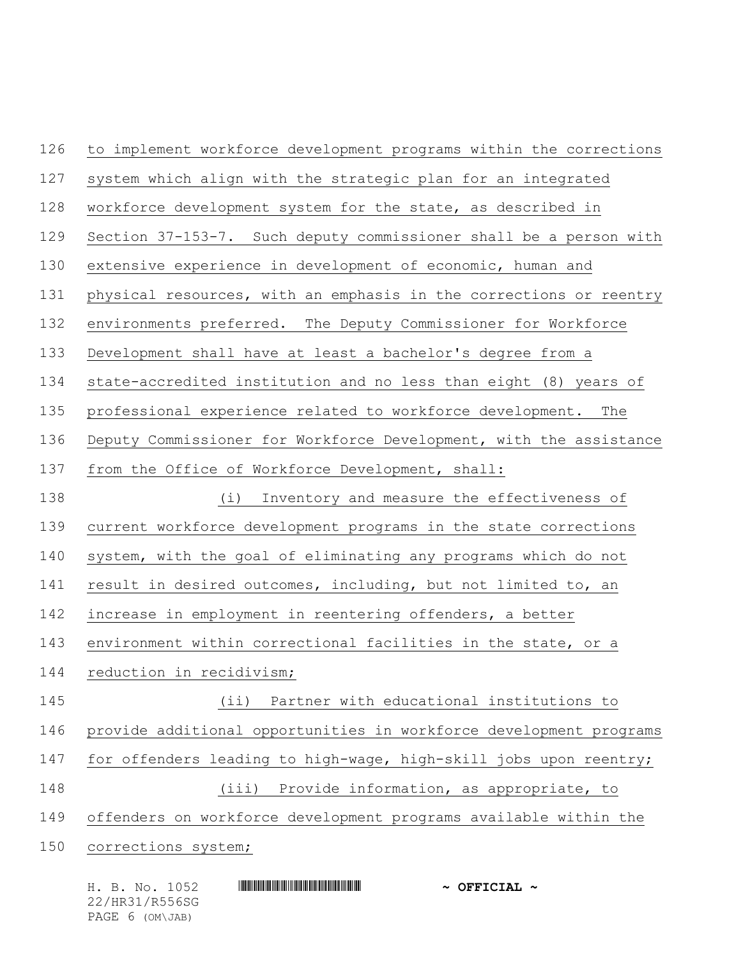to implement workforce development programs within the corrections system which align with the strategic plan for an integrated workforce development system for the state, as described in Section 37-153-7. Such deputy commissioner shall be a person with extensive experience in development of economic, human and physical resources, with an emphasis in the corrections or reentry environments preferred. The Deputy Commissioner for Workforce Development shall have at least a bachelor's degree from a state-accredited institution and no less than eight (8) years of professional experience related to workforce development. The Deputy Commissioner for Workforce Development, with the assistance from the Office of Workforce Development, shall: (i) Inventory and measure the effectiveness of current workforce development programs in the state corrections system, with the goal of eliminating any programs which do not result in desired outcomes, including, but not limited to, an increase in employment in reentering offenders, a better environment within correctional facilities in the state, or a reduction in recidivism; (ii) Partner with educational institutions to provide additional opportunities in workforce development programs for offenders leading to high-wage, high-skill jobs upon reentry; (iii) Provide information, as appropriate, to offenders on workforce development programs available within the corrections system;

| H. B. No. 1052  | $\sim$ OFFICIAL $\sim$ |
|-----------------|------------------------|
| 22/HR31/R556SG  |                        |
| PAGE 6 (OM\JAB) |                        |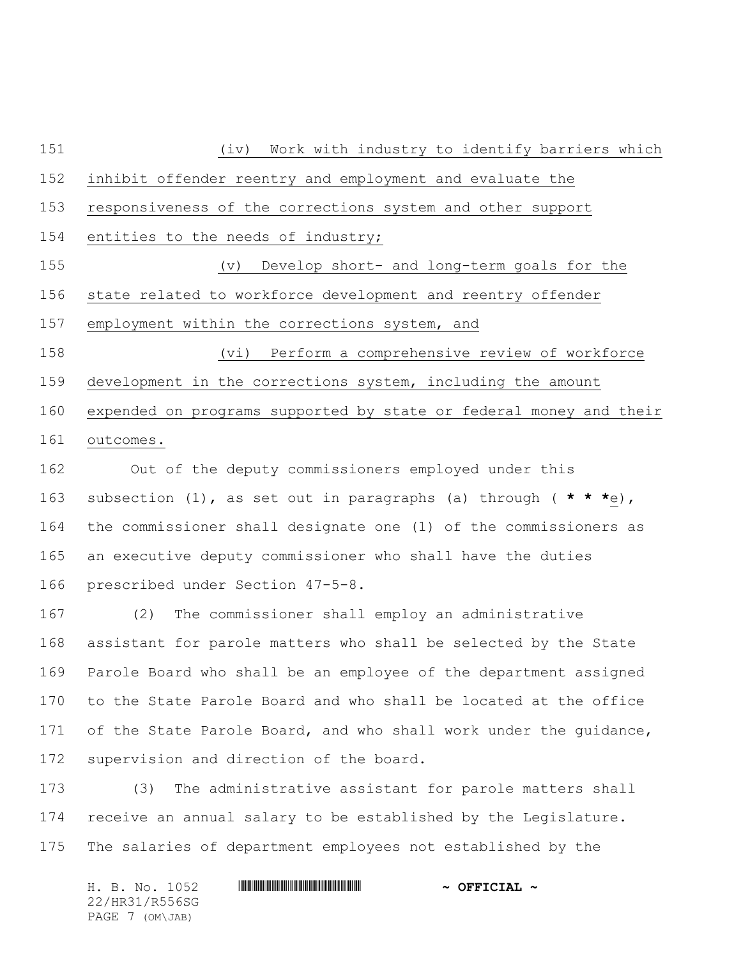(iv) Work with industry to identify barriers which inhibit offender reentry and employment and evaluate the responsiveness of the corrections system and other support 154 entities to the needs of industry; (v) Develop short- and long-term goals for the state related to workforce development and reentry offender 157 employment within the corrections system, and (vi) Perform a comprehensive review of workforce development in the corrections system, including the amount expended on programs supported by state or federal money and their outcomes.

 Out of the deputy commissioners employed under this subsection (1), as set out in paragraphs (a) through ( **\* \* \***e), the commissioner shall designate one (1) of the commissioners as an executive deputy commissioner who shall have the duties prescribed under Section 47-5-8.

 (2) The commissioner shall employ an administrative assistant for parole matters who shall be selected by the State Parole Board who shall be an employee of the department assigned to the State Parole Board and who shall be located at the office 171 of the State Parole Board, and who shall work under the guidance, 172 supervision and direction of the board.

 (3) The administrative assistant for parole matters shall receive an annual salary to be established by the Legislature. The salaries of department employees not established by the

H. B. No. 1052 \*HR31/R556SG\* **~ OFFICIAL ~** 22/HR31/R556SG PAGE 7 (OM\JAB)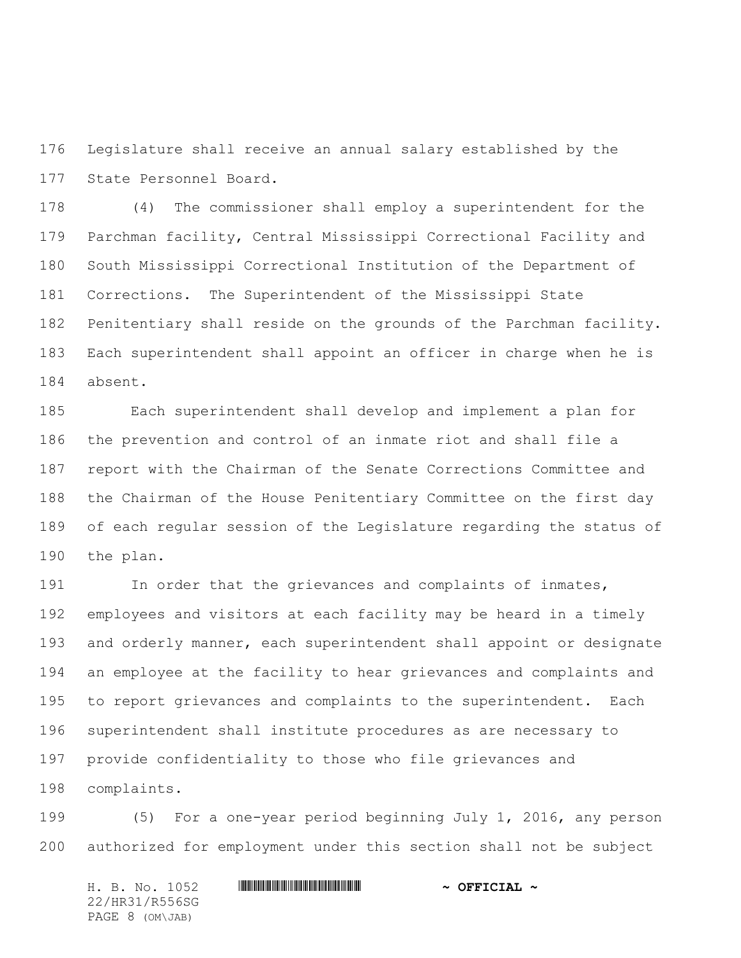Legislature shall receive an annual salary established by the State Personnel Board.

 (4) The commissioner shall employ a superintendent for the Parchman facility, Central Mississippi Correctional Facility and South Mississippi Correctional Institution of the Department of Corrections. The Superintendent of the Mississippi State Penitentiary shall reside on the grounds of the Parchman facility. Each superintendent shall appoint an officer in charge when he is absent.

 Each superintendent shall develop and implement a plan for the prevention and control of an inmate riot and shall file a report with the Chairman of the Senate Corrections Committee and the Chairman of the House Penitentiary Committee on the first day of each regular session of the Legislature regarding the status of the plan.

 In order that the grievances and complaints of inmates, employees and visitors at each facility may be heard in a timely and orderly manner, each superintendent shall appoint or designate an employee at the facility to hear grievances and complaints and to report grievances and complaints to the superintendent. Each superintendent shall institute procedures as are necessary to provide confidentiality to those who file grievances and complaints.

 (5) For a one-year period beginning July 1, 2016, any person authorized for employment under this section shall not be subject

H. B. No. 1052 \*HR31/R556SG\* **~ OFFICIAL ~** 22/HR31/R556SG PAGE 8 (OM\JAB)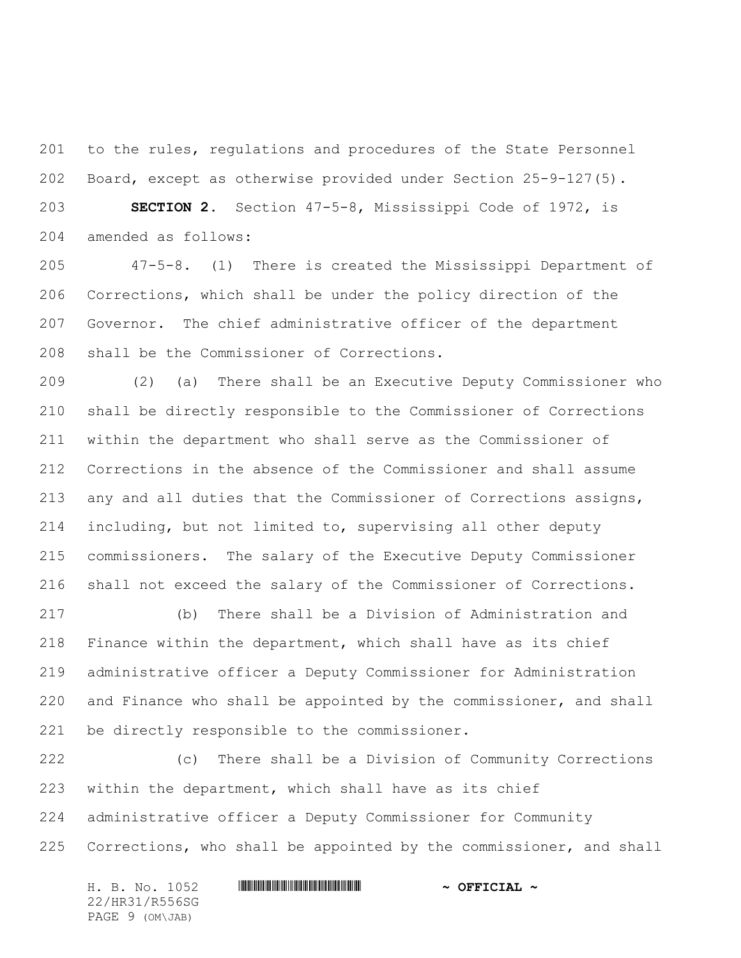to the rules, regulations and procedures of the State Personnel Board, except as otherwise provided under Section 25-9-127(5).

 **SECTION 2.** Section 47-5-8, Mississippi Code of 1972, is amended as follows:

 47-5-8. (1) There is created the Mississippi Department of Corrections, which shall be under the policy direction of the Governor. The chief administrative officer of the department shall be the Commissioner of Corrections.

 (2) (a) There shall be an Executive Deputy Commissioner who shall be directly responsible to the Commissioner of Corrections within the department who shall serve as the Commissioner of Corrections in the absence of the Commissioner and shall assume any and all duties that the Commissioner of Corrections assigns, including, but not limited to, supervising all other deputy commissioners. The salary of the Executive Deputy Commissioner shall not exceed the salary of the Commissioner of Corrections.

 (b) There shall be a Division of Administration and Finance within the department, which shall have as its chief administrative officer a Deputy Commissioner for Administration and Finance who shall be appointed by the commissioner, and shall be directly responsible to the commissioner.

 (c) There shall be a Division of Community Corrections within the department, which shall have as its chief administrative officer a Deputy Commissioner for Community Corrections, who shall be appointed by the commissioner, and shall

H. B. No. 1052 \*HR31/R556SG\* **~ OFFICIAL ~** 22/HR31/R556SG PAGE 9 (OM\JAB)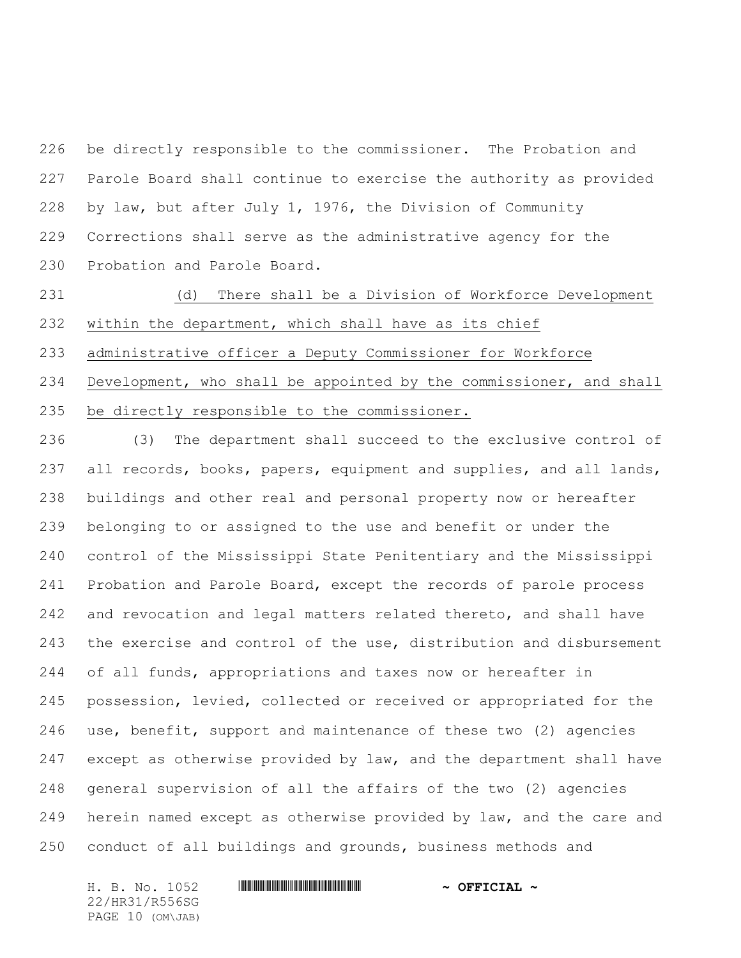be directly responsible to the commissioner. The Probation and Parole Board shall continue to exercise the authority as provided by law, but after July 1, 1976, the Division of Community Corrections shall serve as the administrative agency for the Probation and Parole Board.

 (d) There shall be a Division of Workforce Development within the department, which shall have as its chief administrative officer a Deputy Commissioner for Workforce Development, who shall be appointed by the commissioner, and shall be directly responsible to the commissioner.

 (3) The department shall succeed to the exclusive control of all records, books, papers, equipment and supplies, and all lands, buildings and other real and personal property now or hereafter belonging to or assigned to the use and benefit or under the control of the Mississippi State Penitentiary and the Mississippi Probation and Parole Board, except the records of parole process 242 and revocation and legal matters related thereto, and shall have the exercise and control of the use, distribution and disbursement of all funds, appropriations and taxes now or hereafter in possession, levied, collected or received or appropriated for the use, benefit, support and maintenance of these two (2) agencies except as otherwise provided by law, and the department shall have general supervision of all the affairs of the two (2) agencies herein named except as otherwise provided by law, and the care and conduct of all buildings and grounds, business methods and

22/HR31/R556SG PAGE 10 (OM\JAB)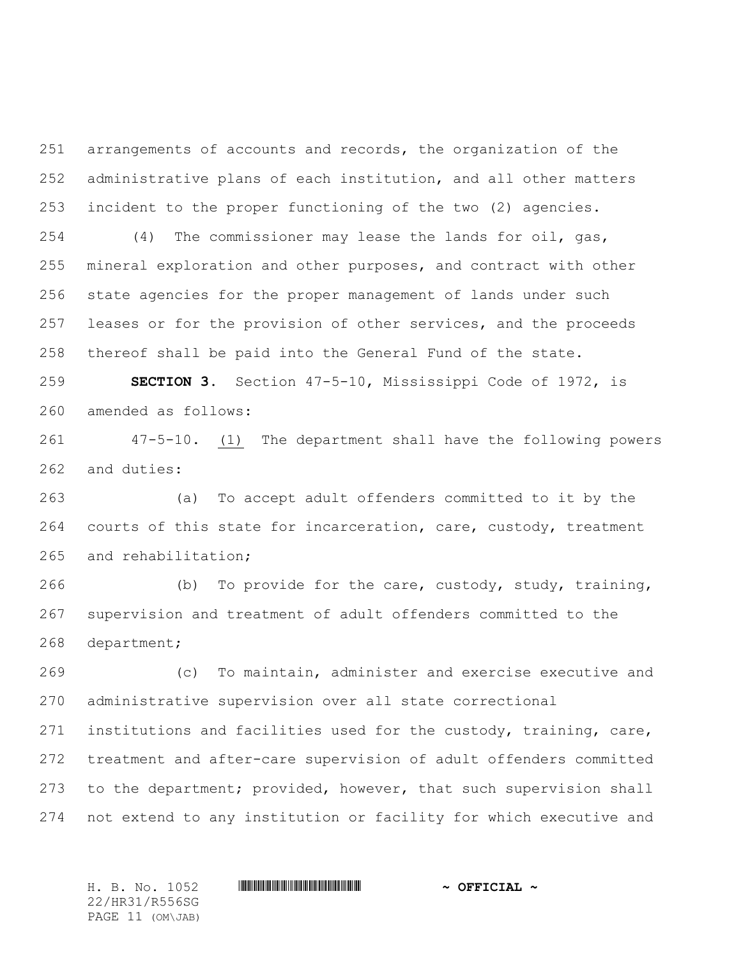arrangements of accounts and records, the organization of the administrative plans of each institution, and all other matters incident to the proper functioning of the two (2) agencies.

 (4) The commissioner may lease the lands for oil, gas, mineral exploration and other purposes, and contract with other state agencies for the proper management of lands under such 257 leases or for the provision of other services, and the proceeds thereof shall be paid into the General Fund of the state.

 **SECTION 3.** Section 47-5-10, Mississippi Code of 1972, is amended as follows:

 47-5-10. (1) The department shall have the following powers and duties:

 (a) To accept adult offenders committed to it by the 264 courts of this state for incarceration, care, custody, treatment and rehabilitation;

 (b) To provide for the care, custody, study, training, supervision and treatment of adult offenders committed to the department;

 (c) To maintain, administer and exercise executive and administrative supervision over all state correctional

 institutions and facilities used for the custody, training, care, treatment and after-care supervision of adult offenders committed to the department; provided, however, that such supervision shall not extend to any institution or facility for which executive and

H. B. No. 1052 \*HR31/R556SG\* **~ OFFICIAL ~**

22/HR31/R556SG PAGE 11 (OM\JAB)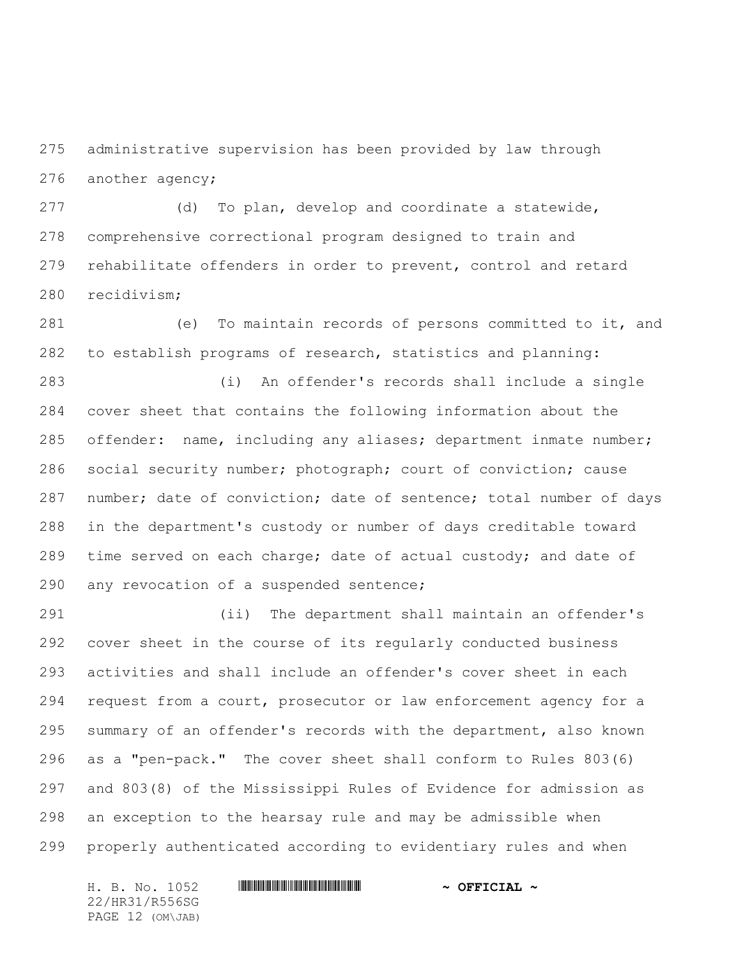administrative supervision has been provided by law through another agency;

 (d) To plan, develop and coordinate a statewide, comprehensive correctional program designed to train and rehabilitate offenders in order to prevent, control and retard recidivism;

 (e) To maintain records of persons committed to it, and to establish programs of research, statistics and planning:

 (i) An offender's records shall include a single cover sheet that contains the following information about the offender: name, including any aliases; department inmate number; social security number; photograph; court of conviction; cause number; date of conviction; date of sentence; total number of days in the department's custody or number of days creditable toward 289 time served on each charge; date of actual custody; and date of any revocation of a suspended sentence;

 (ii) The department shall maintain an offender's cover sheet in the course of its regularly conducted business activities and shall include an offender's cover sheet in each request from a court, prosecutor or law enforcement agency for a summary of an offender's records with the department, also known as a "pen-pack." The cover sheet shall conform to Rules 803(6) and 803(8) of the Mississippi Rules of Evidence for admission as an exception to the hearsay rule and may be admissible when properly authenticated according to evidentiary rules and when

H. B. No. 1052 \*HR31/R556SG\* **~ OFFICIAL ~** 22/HR31/R556SG PAGE 12 (OM\JAB)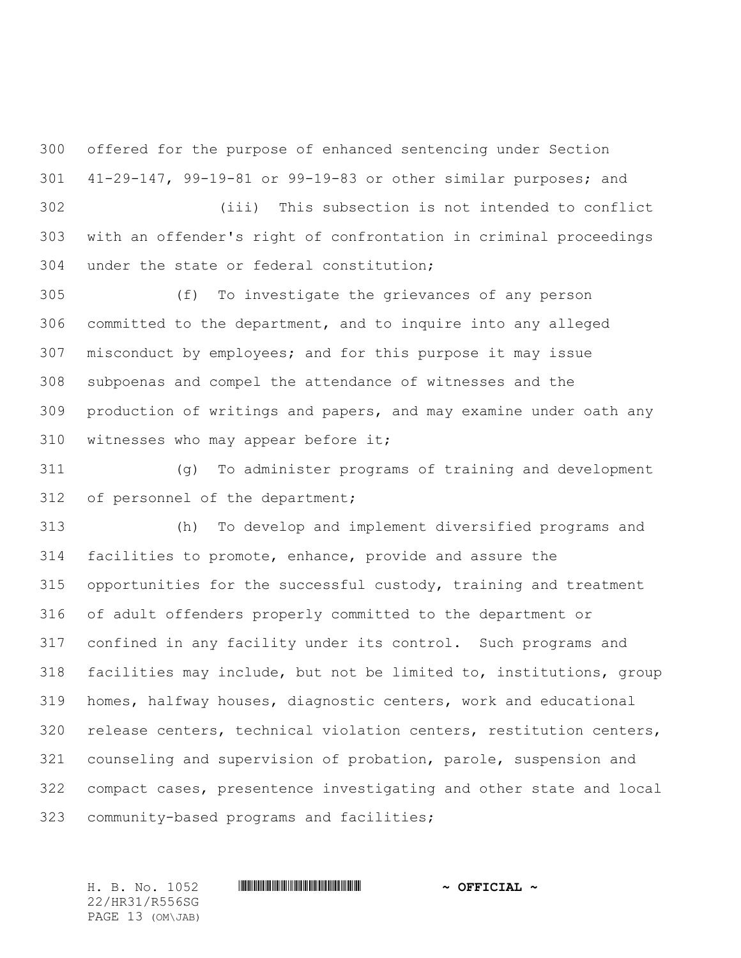offered for the purpose of enhanced sentencing under Section 41-29-147, 99-19-81 or 99-19-83 or other similar purposes; and

 (iii) This subsection is not intended to conflict with an offender's right of confrontation in criminal proceedings under the state or federal constitution;

 (f) To investigate the grievances of any person committed to the department, and to inquire into any alleged misconduct by employees; and for this purpose it may issue subpoenas and compel the attendance of witnesses and the production of writings and papers, and may examine under oath any witnesses who may appear before it;

 (g) To administer programs of training and development 312 of personnel of the department;

 (h) To develop and implement diversified programs and facilities to promote, enhance, provide and assure the opportunities for the successful custody, training and treatment of adult offenders properly committed to the department or confined in any facility under its control. Such programs and facilities may include, but not be limited to, institutions, group homes, halfway houses, diagnostic centers, work and educational release centers, technical violation centers, restitution centers, counseling and supervision of probation, parole, suspension and compact cases, presentence investigating and other state and local community-based programs and facilities;

22/HR31/R556SG PAGE 13 (OM\JAB)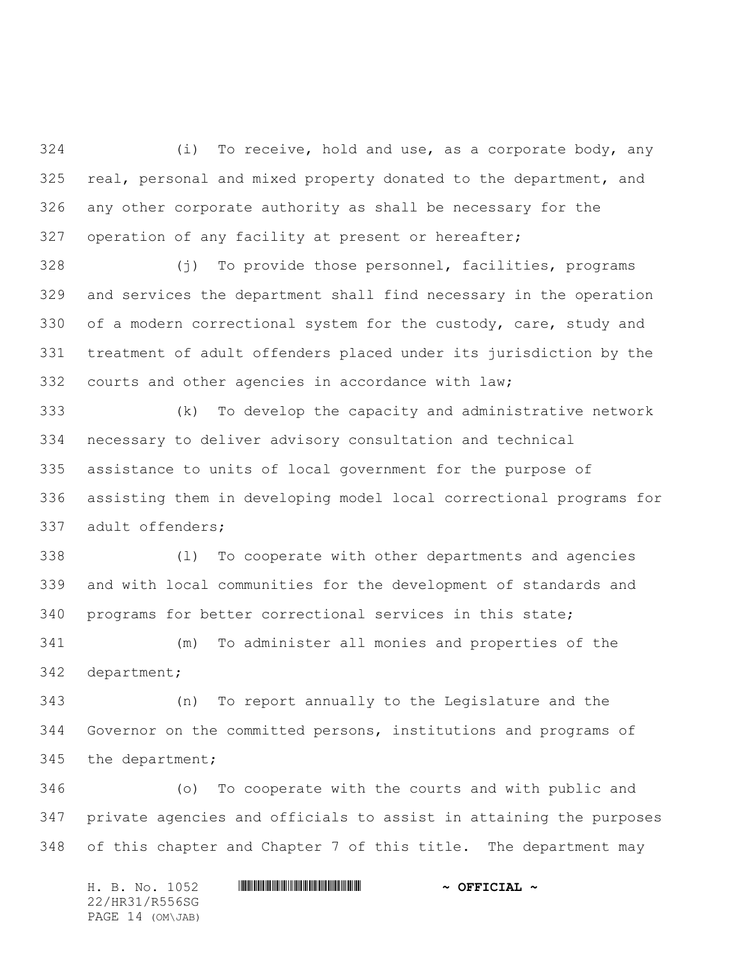(i) To receive, hold and use, as a corporate body, any real, personal and mixed property donated to the department, and any other corporate authority as shall be necessary for the operation of any facility at present or hereafter;

 (j) To provide those personnel, facilities, programs and services the department shall find necessary in the operation 330 of a modern correctional system for the custody, care, study and treatment of adult offenders placed under its jurisdiction by the courts and other agencies in accordance with law;

 (k) To develop the capacity and administrative network necessary to deliver advisory consultation and technical assistance to units of local government for the purpose of assisting them in developing model local correctional programs for adult offenders;

 (l) To cooperate with other departments and agencies and with local communities for the development of standards and programs for better correctional services in this state;

 (m) To administer all monies and properties of the department;

 (n) To report annually to the Legislature and the Governor on the committed persons, institutions and programs of the department;

 (o) To cooperate with the courts and with public and private agencies and officials to assist in attaining the purposes of this chapter and Chapter 7 of this title. The department may

H. B. No. 1052 **HRING CONSTRUCTED A** OFFICIAL ~ 22/HR31/R556SG PAGE 14 (OM\JAB)